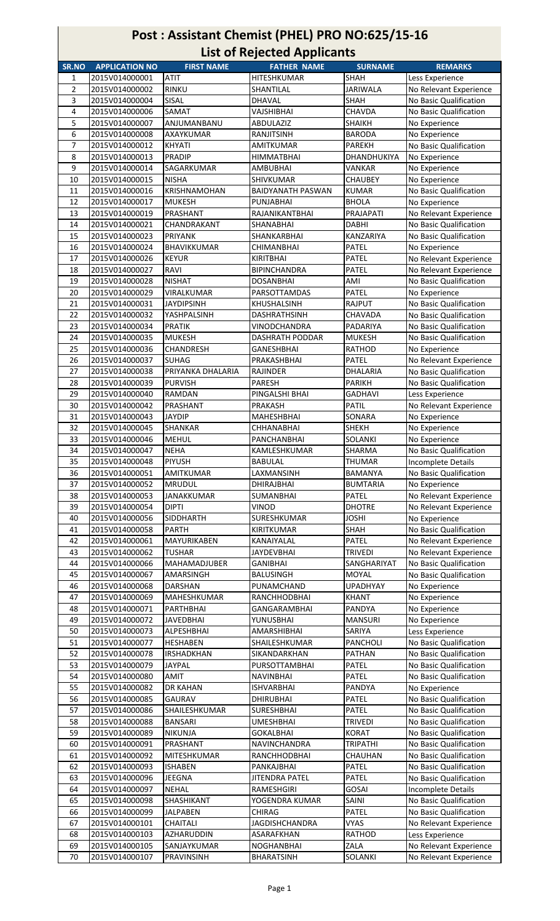## Post : Assistant Chemist (PHEL) PRO NO:625/15-16 List of Rejected Applicants

|                  |                                  |                     | List of nejected Applicants |                    |                        |
|------------------|----------------------------------|---------------------|-----------------------------|--------------------|------------------------|
| SR.NO            | <b>APPLICATION NO</b>            | <b>FIRST NAME</b>   | <b>FATHER NAME</b>          | <b>SURNAME</b>     | <b>REMARKS</b>         |
| 1                | 2015V014000001                   | <b>ATIT</b>         | HITESHKUMAR                 | <b>SHAH</b>        | Less Experience        |
| 2                | 2015V014000002                   | <b>RINKU</b>        | SHANTILAL                   | <b>JARIWALA</b>    | No Relevant Experience |
| 3                | 2015V014000004                   | SISAL               | <b>DHAVAL</b>               | <b>SHAH</b>        | No Basic Qualification |
| 4                | 2015V014000006                   | SAMAT               | VAJSHIBHAI                  | CHAVDA             | No Basic Qualification |
| 5                | 2015V014000007                   | ANJUMANBANU         | ABDULAZIZ                   | <b>SHAIKH</b>      | No Experience          |
| 6                | 2015V014000008                   | AXAYKUMAR           | RANJITSINH                  | <b>BARODA</b>      | No Experience          |
| $\overline{7}$   | 2015V014000012                   | <b>KHYATI</b>       | <b>AMITKUMAR</b>            | <b>PAREKH</b>      | No Basic Qualification |
| 8                | 2015V014000013                   | <b>PRADIP</b>       | <b>HIMMATBHAI</b>           | <b>DHANDHUKIYA</b> | No Experience          |
| $\boldsymbol{9}$ | 2015V014000014                   | SAGARKUMAR          | <b>AMBUBHAI</b>             | VANKAR             | No Experience          |
| 10               | 2015V014000015                   | <b>NISHA</b>        | <b>SHIVKUMAR</b>            | <b>CHAUBEY</b>     | No Experience          |
| 11               | 2015V014000016                   | <b>KRISHNAMOHAN</b> | <b>BAIDYANATH PASWAN</b>    | <b>KUMAR</b>       | No Basic Qualification |
| 12               | 2015V014000017                   | <b>MUKESH</b>       | PUNJABHAI                   | <b>BHOLA</b>       | No Experience          |
| 13               | 2015V014000019                   | PRASHANT            | RAJANIKANTBHAI              | PRAJAPATI          | No Relevant Experience |
| 14               | 2015V014000021                   | CHANDRAKANT         | <b>SHANABHAI</b>            | <b>DABHI</b>       | No Basic Qualification |
| 15               | 2015V014000023                   | <b>PRIYANK</b>      | SHANKARBHAI                 | KANZARIYA          | No Basic Qualification |
| 16               | 2015V014000024                   | BHAVIKKUMAR         | <b>CHIMANBHAI</b>           | PATEL              | No Experience          |
| 17               | 2015V014000026                   | <b>KEYUR</b>        | <b>KIRITBHAI</b>            | PATEL              | No Relevant Experience |
|                  | 2015V014000027                   | RAVI                |                             | PATEL              | No Relevant Experience |
| 18               |                                  |                     | <b>BIPINCHANDRA</b>         |                    |                        |
| 19               | 2015V014000028                   | <b>NISHAT</b>       | <b>DOSANBHAI</b>            | AMI                | No Basic Qualification |
| 20               | 2015V014000029                   | VIRALKUMAR          | PARSOTTAMDAS                | <b>PATEL</b>       | No Experience          |
| 21               | 2015V014000031                   | <b>JAYDIPSINH</b>   | KHUSHALSINH                 | RAJPUT             | No Basic Qualification |
| 22               | 2015V014000032                   | YASHPALSINH         | <b>DASHRATHSINH</b>         | CHAVADA            | No Basic Qualification |
| 23               | 2015V014000034                   | <b>PRATIK</b>       | VINODCHANDRA                | PADARIYA           | No Basic Qualification |
| 24               | 2015V014000035                   | <b>MUKESH</b>       | <b>DASHRATH PODDAR</b>      | <b>MUKESH</b>      | No Basic Qualification |
| 25               | 2015V014000036                   | <b>CHANDRESH</b>    | <b>GANESHBHAI</b>           | <b>RATHOD</b>      | No Experience          |
| 26               | 2015V014000037                   | <b>SUHAG</b>        | PRAKASHBHAI                 | PATEL              | No Relevant Experience |
| 27               | 2015V014000038                   | PRIYANKA DHALARIA   | RAJINDER                    | DHALARIA           | No Basic Qualification |
| 28               | 2015V014000039                   | <b>PURVISH</b>      | PARESH                      | <b>PARIKH</b>      | No Basic Qualification |
| 29               | 2015V014000040                   | RAMDAN              | PINGALSHI BHAI              | <b>GADHAVI</b>     | Less Experience        |
| 30               | 2015V014000042                   | PRASHANT            | PRAKASH                     | <b>PATIL</b>       | No Relevant Experience |
| 31               | 2015V014000043                   | <b>JAYDIP</b>       | MAHESHBHAI                  | SONARA             | No Experience          |
| 32               | 2015V014000045                   | SHANKAR             | <b>CHHANABHAI</b>           | SHEKH              | No Experience          |
| 33               | 2015V014000046                   | <b>MEHUL</b>        | PANCHANBHAI                 | SOLANKI            | No Experience          |
|                  |                                  |                     |                             |                    |                        |
| 34<br>35         | 2015V014000047<br>2015V014000048 | <b>NEHA</b>         | KAMLESHKUMAR                | SHARMA             | No Basic Qualification |
|                  |                                  | <b>PIYUSH</b>       | <b>BABULAL</b>              | <b>THUMAR</b>      | Incomplete Details     |
| 36               | 2015V014000051                   | <b>AMITKUMAR</b>    | LAXMANSINH                  | <b>BAMANYA</b>     | No Basic Qualification |
| 37               | 2015V014000052                   | <b>MRUDUL</b>       | <b>DHIRAJBHAI</b>           | <b>BUMTARIA</b>    | No Experience          |
| 38               | 2015V014000053                   | <b>JANAKKUMAR</b>   | SUMANBHAI                   | PATEL              | No Relevant Experience |
| 39               | 2015V014000054                   | <b>DIPTI</b>        | VINOD                       | <b>DHOTRE</b>      | No Relevant Experience |
| 40               | 2015V014000056                   | SIDDHARTH           | SURESHKUMAR                 | <b>JOSHI</b>       | No Experience          |
| 41               | 2015V014000058                   | <b>PARTH</b>        | <b>KIRITKUMAR</b>           | SHAH               | No Basic Qualification |
| 42               | 2015V014000061                   | MAYURIKABEN         | KANAIYALAL                  | PATEL              | No Relevant Experience |
| 43               | 2015V014000062                   | <b>TUSHAR</b>       | <b>JAYDEVBHAI</b>           | <b>TRIVEDI</b>     | No Relevant Experience |
| 44               | 2015V014000066                   | <b>MAHAMADJUBER</b> | GANIBHAI                    | SANGHARIYAT        | No Basic Qualification |
| 45               | 2015V014000067                   | <b>AMARSINGH</b>    | <b>BALUSINGH</b>            | MOYAL              | No Basic Qualification |
| 46               | 2015V014000068                   | DARSHAN             | PUNAMCHAND                  | <b>UPADHYAY</b>    | No Experience          |
| 47               | 2015V014000069                   | MAHESHKUMAR         | RANCHHODBHAI                | <b>KHANT</b>       | No Experience          |
| 48               | 2015V014000071                   | PARTHBHAI           | GANGARAMBHAI                | PANDYA             | No Experience          |
| 49               | 2015V014000072                   | JAVEDBHAI           | YUNUSBHAI                   | MANSURI            | No Experience          |
| 50               | 2015V014000073                   | ALPESHBHAI          | AMARSHIBHAI                 | SARIYA             | Less Experience        |
| 51               | 2015V014000077                   | <b>HESHABEN</b>     | SHAILESHKUMAR               | <b>PANCHOLI</b>    | No Basic Qualification |
| 52               | 2015V014000078                   | <b>IRSHADKHAN</b>   | SIKANDARKHAN                | PATHAN             | No Basic Qualification |
| 53               | 2015V014000079                   | <b>JAYPAL</b>       | PURSOTTAMBHAI               | PATEL              | No Basic Qualification |
|                  |                                  |                     |                             |                    |                        |
| 54               | 2015V014000080                   | <b>AMIT</b>         | <b>NAVINBHAI</b>            | PATEL              | No Basic Qualification |
| 55               | 2015V014000082                   | DR KAHAN            | <b>ISHVARBHAI</b>           | PANDYA             | No Experience          |
| 56               | 2015V014000085                   | <b>GAURAV</b>       | <b>DHIRUBHAI</b>            | PATEL              | No Basic Qualification |
| 57               | 2015V014000086                   | SHAILESHKUMAR       | <b>SURESHBHAI</b>           | PATEL              | No Basic Qualification |
| 58               | 2015V014000088                   | <b>BANSARI</b>      | UMESHBHAI                   | <b>TRIVEDI</b>     | No Basic Qualification |
| 59               | 2015V014000089                   | <b>NIKUNJA</b>      | <b>GOKALBHAI</b>            | <b>KORAT</b>       | No Basic Qualification |
| 60               | 2015V014000091                   | PRASHANT            | NAVINCHANDRA                | <b>TRIPATHI</b>    | No Basic Qualification |
| 61               | 2015V014000092                   | MITESHKUMAR         | RANCHHODBHAI                | CHAUHAN            | No Basic Qualification |
| 62               | 2015V014000093                   | <b>ISHABEN</b>      | PANKAJBHAI                  | PATEL              | No Basic Qualification |
| 63               | 2015V014000096                   | <b>JEEGNA</b>       | <b>JITENDRA PATEL</b>       | PATEL              | No Basic Qualification |
| 64               | 2015V014000097                   | <b>NEHAL</b>        | <b>RAMESHGIRI</b>           | GOSAI              | Incomplete Details     |
| 65               | 2015V014000098                   | SHASHIKANT          | YOGENDRA KUMAR              | SAINI              | No Basic Qualification |
| 66               | 2015V014000099                   | JALPABEN            | CHIRAG                      | PATEL              | No Basic Qualification |
| 67               | 2015V014000101                   | <b>CHAITALI</b>     | <b>JAGDISHCHANDRA</b>       | VYAS               | No Relevant Experience |
| 68               | 2015V014000103                   | AZHARUDDIN          | ASARAFKHAN                  | <b>RATHOD</b>      | Less Experience        |
| 69               | 2015V014000105                   | SANJAYKUMAR         | NOGHANBHAI                  | ZALA               | No Relevant Experience |
| 70               | 2015V014000107                   | PRAVINSINH          | <b>BHARATSINH</b>           | <b>SOLANKI</b>     | No Relevant Experience |
|                  |                                  |                     |                             |                    |                        |